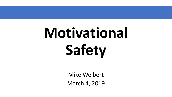# **Motivational Safety**

Mike Weibert March 4, 2019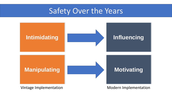## Safety Over the Years



Vintage Implementation and Modern Implementation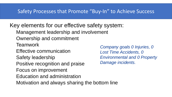## Safety Processes that Promote "Buy-In" to Achieve Success

Key elements for our effective safety system:

- Management leadership and involvement
- Ownership and commitment
- **Teamwork**
- Effective communication
- Safety leadership
- Positive recognition and praise
- Focus on improvement
- Education and administration
- Motivation and always sharing the bottom line

*Company goals 0 Injuries, 0 Lost Time Accidents, 0 Environmental and 0 Property Damage incidents.*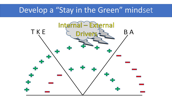## Develop a "Stay in the Green" mindset

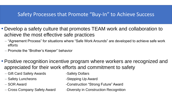## Safety Processes that Promote "Buy-In" to Achieve Success

- Develop a safety culture that promotes TEAM work and collaboration to achieve the most effective safe practices
	- "Agreement Process" for situations where "Safe Work Arounds" are developed to achieve safe work efforts
	- Promote the "Brother's Keeper" behavior
- Positive recognition incentive program where workers are recognized and appreciated for their work efforts and commitment to safety
	- Gift Card Safety Awards **-Safety Dollars**
	- Safety Luncheons **-Stepping Up Award**
	-
	-
- 
- 
- SOR Award **-Construction "Strong Future" Award**
- Cross Company Safety Award -Diversity in Construction Recognition